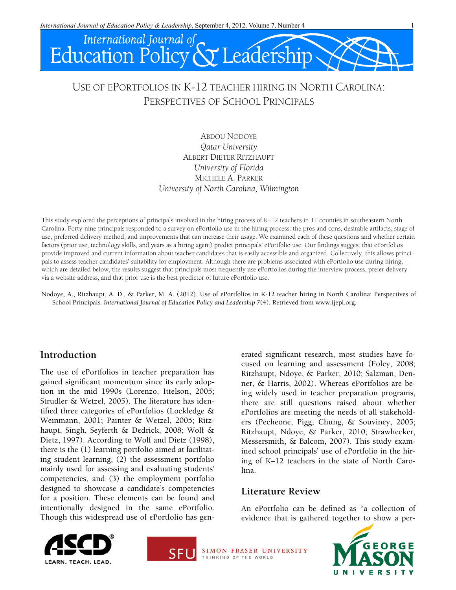

# USE OF EPORTFOLIOS IN K-12 TEACHER HIRING IN NORTH CAROLINA: PERSPECTIVES OF SCHOOL PRINCIPALS

ABDOU NODOYE *Qatar University* ALBERT DIETER RITZHAUPT *University of Florida* MICHELE A. PARKER *University of North Carolina, Wilmington*

This study explored the perceptions of principals involved in the hiring process of K–12 teachers in 11 counties in southeastern North Carolina. Forty-nine principals responded to a survey on ePortfolio use in the hiring process: the pros and cons, desirable artifacts, stage of use, preferred delivery method, and improvements that can increase their usage. We examined each of these questions and whether certain factors (prior use, technology skills, and years as a hiring agent) predict principals' ePortfolio use. Our findings suggest that ePortfolios provide improved and current information about teacher candidates that is easily accessible and organized. Collectively, this allows principals to assess teacher candidates' suitability for employment. Although there are problems associated with ePortfolio use during hiring, which are detailed below, the results suggest that principals most frequently use ePortfolios during the interview process, prefer delivery via a website address, and that prior use is the best predictor of future ePortfolio use.

Nodoye, A., Ritzhaupt, A. D., & Parker, M. A. (2012). Use of ePortfolios in K-12 teacher hiring in North Carolina: Perspectives of School Principals. *International Journal of Education Policy and Leadership 7*(4). Retrieved from www.ijepl.org.

# **Introduction**

The use of ePortfolios in teacher preparation has gained significant momentum since its early adoption in the mid 1990s (Lorenzo, Ittelson, 2005; Strudler & Wetzel, 2005). The literature has identified three categories of ePortfolios (Lockledge & Weinmann, 2001; Painter & Wetzel, 2005; Ritzhaupt, Singh, Seyferth & Dedrick, 2008; Wolf & Dietz, 1997). According to Wolf and Dietz (1998), there is the (1) learning portfolio aimed at facilitating student learning, (2) the assessment portfolio mainly used for assessing and evaluating students' competencies, and (3) the employment portfolio designed to showcase a candidate's competencies for a position. These elements can be found and intentionally designed in the same ePortfolio. Though this widespread use of ePortfolio has generated significant research, most studies have focused on learning and assessment (Foley, 2008; Ritzhaupt, Ndoye, & Parker, 2010; Salzman, Denner, & Harris, 2002). Whereas ePortfolios are being widely used in teacher preparation programs, there are still questions raised about whether ePortfolios are meeting the needs of all stakeholders (Pecheone, Pigg, Chung, & Souviney, 2005; Ritzhaupt, Ndoye, & Parker, 2010; Strawhecker, Messersmith, & Balcom, 2007). This study examined school principals' use of ePortfolio in the hiring of K–12 teachers in the state of North Carolina.

### **Literature Review**

An ePortfolio can be defined as "a collection of evidence that is gathered together to show a per-





SIMON FRASER UNIVERSITY THINKING OF THE WORLD

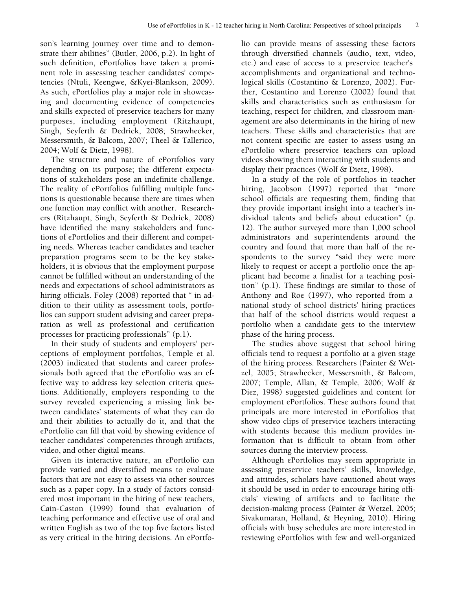son's learning journey over time and to demonstrate their abilities" (Butler, 2006, p.2). In light of such definition, ePortfolios have taken a prominent role in assessing teacher candidates' competencies (Ntuli, Keengwe, &Kyei-Blankson, 2009). As such, ePortfolios play a major role in showcasing and documenting evidence of competencies and skills expected of preservice teachers for many purposes, including employment (Ritzhaupt, Singh, Seyferth & Dedrick, 2008; Strawhecker, Messersmith, & Balcom, 2007; Theel & Tallerico, 2004; Wolf & Dietz, 1998).

The structure and nature of ePortfolios vary depending on its purpose; the different expectations of stakeholders pose an indefinite challenge. The reality of ePortfolios fulfilling multiple functions is questionable because there are times when one function may conflict with another. Researchers (Ritzhaupt, Singh, Seyferth & Dedrick, 2008) have identified the many stakeholders and functions of ePortfolios and their different and competing needs. Whereas teacher candidates and teacher preparation programs seem to be the key stakeholders, it is obvious that the employment purpose cannot be fulfilled without an understanding of the needs and expectations of school administrators as hiring officials. Foley (2008) reported that " in addition to their utility as assessment tools, portfolios can support student advising and career preparation as well as professional and certification processes for practicing professionals" (p.1).

In their study of students and employers' perceptions of employment portfolios, Temple et al. (2003) indicated that students and career professionals both agreed that the ePortfolio was an effective way to address key selection criteria questions. Additionally, employers responding to the survey revealed experiencing a missing link between candidates' statements of what they can do and their abilities to actually do it, and that the ePortfolio can fill that void by showing evidence of teacher candidates' competencies through artifacts, video, and other digital means.

Given its interactive nature, an ePortfolio can provide varied and diversified means to evaluate factors that are not easy to assess via other sources such as a paper copy. In a study of factors considered most important in the hiring of new teachers, Cain-Caston (1999) found that evaluation of teaching performance and effective use of oral and written English as two of the top five factors listed as very critical in the hiring decisions. An ePortfolio can provide means of assessing these factors through diversified channels (audio, text, video, etc.) and ease of access to a preservice teacher's accomplishments and organizational and technological skills (Costantino & Lorenzo, 2002). Further, Costantino and Lorenzo (2002) found that skills and characteristics such as enthusiasm for teaching, respect for children, and classroom management are also determinants in the hiring of new teachers. These skills and characteristics that are not content specific are easier to assess using an ePortfolio where preservice teachers can upload videos showing them interacting with students and display their practices (Wolf & Dietz, 1998).

In a study of the role of portfolios in teacher hiring, Jacobson (1997) reported that "more school officials are requesting them, finding that they provide important insight into a teacher's individual talents and beliefs about education" (p. 12). The author surveyed more than 1,000 school administrators and superintendents around the country and found that more than half of the respondents to the survey "said they were more likely to request or accept a portfolio once the applicant had become a finalist for a teaching position" (p.1). These findings are similar to those of Anthony and Roe (1997), who reported from a national study of school districts' hiring practices that half of the school districts would request a portfolio when a candidate gets to the interview phase of the hiring process.

The studies above suggest that school hiring officials tend to request a portfolio at a given stage of the hiring process. Researchers (Painter & Wetzel, 2005; Strawhecker, Messersmith, & Balcom, 2007; Temple, Allan, & Temple, 2006; Wolf & Diez, 1998) suggested guidelines and content for employment ePortfolios. These authors found that principals are more interested in ePortfolios that show video clips of preservice teachers interacting with students because this medium provides information that is difficult to obtain from other sources during the interview process.

Although ePortfolios may seem appropriate in assessing preservice teachers' skills, knowledge, and attitudes, scholars have cautioned about ways it should be used in order to encourage hiring officials' viewing of artifacts and to facilitate the decision-making process (Painter & Wetzel, 2005; Sivakumaran, Holland, & Heyning, 2010). Hiring officials with busy schedules are more interested in reviewing ePortfolios with few and well-organized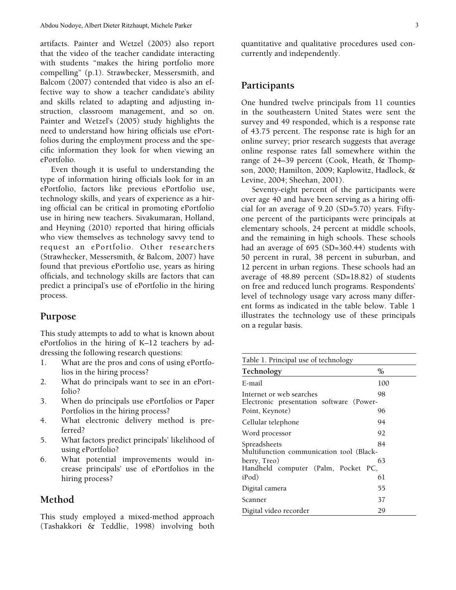artifacts. Painter and Wetzel (2005) also report that the video of the teacher candidate interacting with students "makes the hiring portfolio more compelling" (p.1). Strawbecker, Messersmith, and Balcom (2007) contended that video is also an effective way to show a teacher candidate's ability and skills related to adapting and adjusting instruction, classroom management, and so on. Painter and Wetzel's (2005) study highlights the need to understand how hiring officials use ePortfolios during the employment process and the specific information they look for when viewing an ePortfolio.

Even though it is useful to understanding the type of information hiring officials look for in an ePortfolio, factors like previous ePortfolio use, technology skills, and years of experience as a hiring official can be critical in promoting ePortfolio use in hiring new teachers. Sivakumaran, Holland, and Heyning (2010) reported that hiring officials who view themselves as technology savvy tend to request an ePortfolio. Other researchers (Strawhecker, Messersmith, & Balcom, 2007) have found that previous ePortfolio use, years as hiring officials, and technology skills are factors that can predict a principal's use of ePortfolio in the hiring process.

### **Purpose**

This study attempts to add to what is known about ePortfolios in the hiring of K–12 teachers by addressing the following research questions:

- 1. What are the pros and cons of using ePortfolios in the hiring process?
- 2. What do principals want to see in an ePortfolio?
- 3. When do principals use ePortfolios or Paper Portfolios in the hiring process?
- 4. What electronic delivery method is preferred?
- 5. What factors predict principals' likelihood of using ePortfolio?
- 6. What potential improvements would increase principals' use of ePortfolios in the hiring process?

### **Method**

This study employed a mixed-method approach (Tashakkori & Teddlie, 1998) involving both quantitative and qualitative procedures used concurrently and independently.

#### **Participants**

One hundred twelve principals from 11 counties in the southeastern United States were sent the survey and 49 responded, which is a response rate of 43.75 percent. The response rate is high for an online survey; prior research suggests that average online response rates fall somewhere within the range of 24–39 percent (Cook, Heath, & Thompson, 2000; Hamilton, 2009; Kaplowitz, Hadlock, & Levine, 2004; Sheehan, 2001).

Seventy-eight percent of the participants were over age 40 and have been serving as a hiring official for an average of 9.20 (SD=5.70) years. Fiftyone percent of the participants were principals at elementary schools, 24 percent at middle schools, and the remaining in high schools. These schools had an average of 695 (SD=360.44) students with 50 percent in rural, 38 percent in suburban, and 12 percent in urban regions. These schools had an average of 48.89 percent (SD=18.82) of students on free and reduced lunch programs. Respondents' level of technology usage vary across many different forms as indicated in the table below. Table 1 illustrates the technology use of these principals on a regular basis.

| Table 1. Principal use of technology                                 |      |
|----------------------------------------------------------------------|------|
| Technology                                                           | $\%$ |
| E-mail                                                               | 100  |
| Internet or web searches<br>Electronic presentation software (Power- | 98   |
| Point, Keynote)                                                      | 96   |
| Cellular telephone                                                   | 94   |
| Word processor                                                       | 92   |
| Spreadsheets<br>Multifunction communication tool (Black-             | 84   |
| berry, Treo)<br>Handheld computer (Palm, Pocket PC,                  | 63   |
| iPod)                                                                | 61   |
| Digital camera                                                       | 55   |
| Scanner                                                              | 37   |
| Digital video recorder                                               | 29   |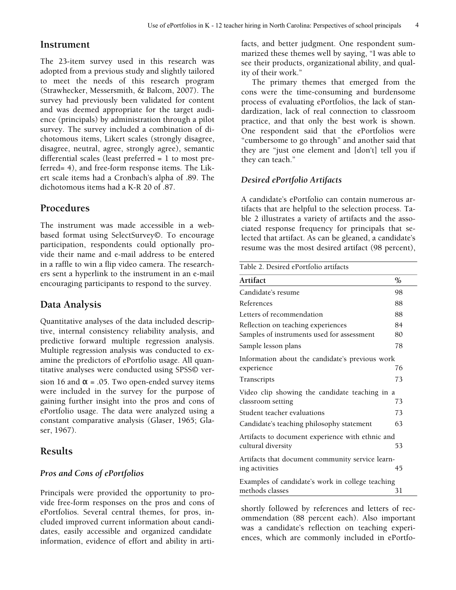# **Instrument**

The 23-item survey used in this research was adopted from a previous study and slightly tailored to meet the needs of this research program (Strawhecker, Messersmith, & Balcom, 2007). The survey had previously been validated for content and was deemed appropriate for the target audience (principals) by administration through a pilot survey. The survey included a combination of dichotomous items, Likert scales (strongly disagree, disagree, neutral, agree, strongly agree), semantic differential scales (least preferred = 1 to most preferred= 4), and free-form response items. The Likert scale items had a Cronbach's alpha of .89. The dichotomous items had a K-R 20 of .87.

# **Procedures**

The instrument was made accessible in a webbased format using SelectSurvey©. To encourage participation, respondents could optionally provide their name and e-mail address to be entered in a raffle to win a flip video camera. The researchers sent a hyperlink to the instrument in an e-mail encouraging participants to respond to the survey.

# **Data Analysis**

Quantitative analyses of the data included descriptive, internal consistency reliability analysis, and predictive forward multiple regression analysis. Multiple regression analysis was conducted to examine the predictors of ePortfolio usage. All quantitative analyses were conducted using SPSS© version 16 and  $\alpha$  = .05. Two open-ended survey items were included in the survey for the purpose of gaining further insight into the pros and cons of ePortfolio usage. The data were analyzed using a constant comparative analysis (Glaser, 1965; Glaser, 1967).

# **Results**

### *Pros and Cons of ePortfolios*

Principals were provided the opportunity to provide free-form responses on the pros and cons of ePortfolios. Several central themes, for pros, included improved current information about candidates, easily accessible and organized candidate information, evidence of effort and ability in artifacts, and better judgment. One respondent summarized these themes well by saying, "I was able to see their products, organizational ability, and quality of their work."

The primary themes that emerged from the cons were the time-consuming and burdensome process of evaluating ePortfolios, the lack of standardization, lack of real connection to classroom practice, and that only the best work is shown. One respondent said that the ePortfolios were "cumbersome to go through" and another said that they are "just one element and [don't] tell you if they can teach."

# *Desired ePortfolio Artifacts*

A candidate's ePortfolio can contain numerous artifacts that are helpful to the selection process. Table 2 illustrates a variety of artifacts and the associated response frequency for principals that selected that artifact. As can be gleaned, a candidate's resume was the most desired artifact (98 percent),

| Table 2. Desired ePortfolio artifacts            |      |
|--------------------------------------------------|------|
| Artifact                                         | $\%$ |
| Candidate's resume                               | 98   |
| References                                       | 88   |
| Letters of recommendation                        | 88   |
| Reflection on teaching experiences               | 84   |
| Samples of instruments used for assessment       | 80   |
| Sample lesson plans                              | 78   |
| Information about the candidate's previous work  |      |
| experience                                       | 76   |
| Transcripts                                      | 73   |
| Video clip showing the candidate teaching in a   |      |
| classroom setting                                | 73   |
| Student teacher evaluations                      | 73   |
| Candidate's teaching philosophy statement        | 63   |
| Artifacts to document experience with ethnic and |      |
| cultural diversity                               | 53   |
| Artifacts that document community service learn- |      |
| ing activities                                   | 45   |
| Examples of candidate's work in college teaching |      |
| methods classes                                  | 31   |

shortly followed by references and letters of recommendation (88 percent each). Also important was a candidate's reflection on teaching experiences, which are commonly included in ePortfo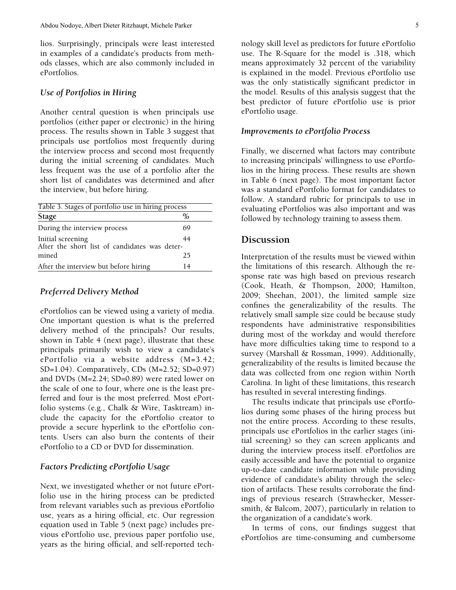lios. Surprisingly, principals were least interested in examples of a candidate's products from methods classes, which are also commonly included in ePortfolios.

#### *Use of Portfolios in Hiring*

Another central question is when principals use portfolios (either paper or electronic) in the hiring process. The results shown in Table 3 suggest that principals use portfolios most frequently during the interview process and second most frequently during the initial screening of candidates. Much less frequent was the use of a portfolio after the short list of candidates was determined and after the interview, but before hiring.

| Table 3. Stages of portfolio use in hiring process                 |      |  |
|--------------------------------------------------------------------|------|--|
| Stage                                                              | $\%$ |  |
| During the interview process                                       | 69   |  |
| Initial screening<br>After the short list of candidates was deter- | 44   |  |
| mined                                                              | 25   |  |
| After the interview but before hiring                              | 14   |  |

#### *Preferred Delivery Method*

ePortfolios can be viewed using a variety of media. One important question is what is the preferred delivery method of the principals? Our results, shown in Table 4 (next page), illustrate that these principals primarily wish to view a candidate's ePortfolio via a website address (M=3.42; SD=1.04). Comparatively, CDs (M=2.52; SD=0.97) and DVDs (M=2.24; SD=0.89) were rated lower on the scale of one to four, where one is the least preferred and four is the most preferred. Most ePortfolio systems (e.g., Chalk & Wire, Tasktream) include the capacity for the ePortfolio creator to provide a secure hyperlink to the ePortfolio contents. Users can also burn the contents of their ePortfolio to a CD or DVD for dissemination.

#### *Factors Predicting ePortfolio Usage*

Next, we investigated whether or not future ePortfolio use in the hiring process can be predicted from relevant variables such as previous ePortfolio use, years as a hiring official, etc. Our regression equation used in Table 5 (next page) includes previous ePortfolio use, previous paper portfolio use, years as the hiring official, and self-reported technology skill level as predictors for future ePortfolio use. The R-Square for the model is .318, which means approximately 32 percent of the variability is explained in the model. Previous ePortfolio use was the only statistically significant predictor in the model. Results of this analysis suggest that the best predictor of future ePortfolio use is prior ePortfolio usage.

#### *Improvements to ePortfolio Process*

Finally, we discerned what factors may contribute to increasing principals' willingness to use ePortfolios in the hiring process. These results are shown in Table 6 (next page). The most important factor was a standard ePortfolio format for candidates to follow. A standard rubric for principals to use in evaluating ePortfolios was also important and was followed by technology training to assess them.

#### **Discussion**

Interpretation of the results must be viewed within the limitations of this research. Although the response rate was high based on previous research (Cook, Heath, & Thompson, 2000; Hamilton, 2009; Sheehan, 2001), the limited sample size confines the generalizability of the results. The relatively small sample size could be because study respondents have administrative responsibilities during most of the workday and would therefore have more difficulties taking time to respond to a survey (Marshall & Rossman, 1999). Additionally, generalizability of the results is limited because the data was collected from one region within North Carolina. In light of these limitations, this research has resulted in several interesting findings.

The results indicate that principals use ePortfolios during some phases of the hiring process but not the entire process. According to these results, principals use ePortfolios in the earlier stages (initial screening) so they can screen applicants and during the interview process itself. ePortfolios are easily accessible and have the potential to organize up-to-date candidate information while providing evidence of candidate's ability through the selection of artifacts. These results corroborate the findings of previous research (Strawhecker, Messersmith, & Balcom, 2007), particularly in relation to the organization of a candidate's work.

In terms of cons, our findings suggest that ePortfolios are time-consuming and cumbersome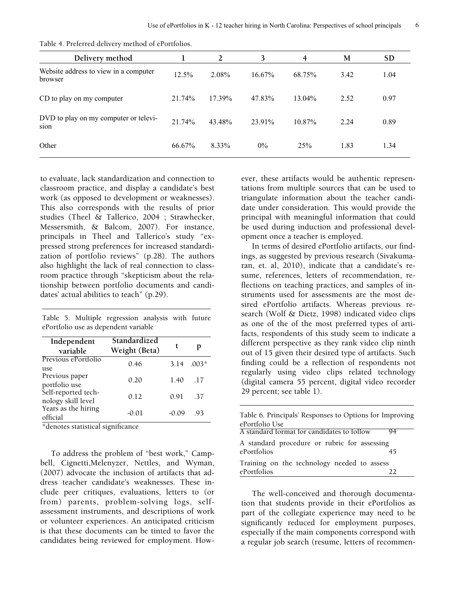| Delivery method                                  |        |        | 3         | $\overline{4}$ | M    | <b>SD</b> |
|--------------------------------------------------|--------|--------|-----------|----------------|------|-----------|
| Website address to view in a computer<br>browser | 12.5%  | 2.08%  | $16.67\%$ | 68.75%         | 3.42 | 1.04      |
| CD to play on my computer                        | 21.74% | 17.39% | 47.83%    | 13.04%         | 2.52 | 0.97      |
| DVD to play on my computer or televi-<br>sion    | 21.74% | 43.48% | 23.91%    | 10.87%         | 2.24 | 0.89      |
| Other                                            | 66.67% | 8.33%  | $0\%$     | 25%            | 1.83 | 1.34      |

Table 4. Preferred delivery method of ePortfolios.

to evaluate, lack standardization and connection to classroom practice, and display a candidate's best work (as opposed to development or weaknesses). This also corresponds with the results of prior studies (Theel & Tallerico, 2004 ; Strawhecker, Messersmith, & Balcom, 2007). For instance, principals in Theel and Tallerico's study "expressed strong preferences for increased standardization of portfolio reviews" (p.28). The authors also highlight the lack of real connection to classroom practice through "skepticism about the relationship between portfolio documents and candidates' actual abilities to teach" (p.29).

Table 5. Multiple regression analysis with future ePortfolio use as dependent variable

| Independent<br>variable                   | Standardized<br>Weight (Beta) |       |                 |
|-------------------------------------------|-------------------------------|-------|-----------------|
| Previous ePortfolio<br>use.               | 0.46                          | 3.14  | $.003*$         |
| Previous paper<br>portfolio use           | 0.20                          | 1.40  | $\overline{17}$ |
| Self-reported tech-<br>nology skill level | 0.12                          | 0.91  | -37             |
| Years as the hiring<br>official           | $-0.01$                       | -0.09 | -93             |

\*denotes statistical significance

To address the problem of "best work," Campbell, Cignetti,Melenyzer, Nettles, and Wyman, (2007) advocate the inclusion of artifacts that address teacher candidate's weaknesses. These include peer critiques, evaluations, letters to (or from) parents, problem-solving logs, selfassessment instruments, and descriptions of work or volunteer experiences. An anticipated criticism is that these documents can be tinted to favor the candidates being reviewed for employment. However, these artifacts would be authentic representations from multiple sources that can be used to triangulate information about the teacher candidate under consideration. This would provide the principal with meaningful information that could be used during induction and professional development once a teacher is employed.

In terms of desired ePortfolio artifacts, our findings, as suggested by previous research (Sivakumaran, et. al, 2010), indicate that a candidate's resume, references, letters of recommendation, reflections on teaching practices, and samples of instruments used for assessments are the most desired ePortfolio artifacts. Whereas previous research (Wolf & Dietz, 1998) indicated video clips as one of the of the most preferred types of artifacts, respondents of this study seem to indicate a different perspective as they rank video clip ninth out of 15 given their desired type of artifacts. Such finding could be a reflection of respondents not regularly using video clips related technology (digital camera 55 percent, digital video recorder 29 percent; see table 1).

| Table 6. Principals' Responses to Options for Improving |  |
|---------------------------------------------------------|--|
| ePortfolio Use                                          |  |
| A standard format for candidates to follow<br>94        |  |
| A standard procedure or rubric for assessing            |  |
| ePortfolios<br>45                                       |  |
| Training on the technology needed to assess             |  |
| ePortfolios                                             |  |

The well-conceived and thorough documentation that students provide in their ePortfolios as part of the collegiate experience may need to be significantly reduced for employment purposes, especially if the main components correspond with a regular job search (resume, letters of recommen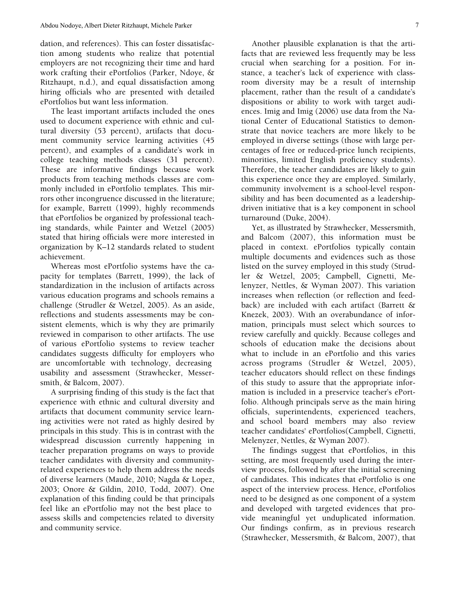dation, and references). This can foster dissatisfaction among students who realize that potential employers are not recognizing their time and hard work crafting their ePortfolios (Parker, Ndoye, & Ritzhaupt, n.d.), and equal dissatisfaction among hiring officials who are presented with detailed ePortfolios but want less information.

The least important artifacts included the ones used to document experience with ethnic and cultural diversity (53 percent), artifacts that document community service learning activities (45 percent), and examples of a candidate's work in college teaching methods classes (31 percent). These are informative findings because work products from teaching methods classes are commonly included in ePortfolio templates. This mirrors other incongruence discussed in the literature; for example, Barrett (1999), highly recommends that ePortfolios be organized by professional teaching standards, while Painter and Wetzel (2005) stated that hiring officials were more interested in organization by K–12 standards related to student achievement.

Whereas most ePortfolio systems have the capacity for templates (Barrett, 1999), the lack of standardization in the inclusion of artifacts across various education programs and schools remains a challenge (Strudler & Wetzel, 2005). As an aside, reflections and students assessments may be consistent elements, which is why they are primarily reviewed in comparison to other artifacts. The use of various ePortfolio systems to review teacher candidates suggests difficulty for employers who are uncomfortable with technology, decreasing usability and assessment (Strawhecker, Messersmith, & Balcom, 2007).

A surprising finding of this study is the fact that experience with ethnic and cultural diversity and artifacts that document community service learning activities were not rated as highly desired by principals in this study. This is in contrast with the widespread discussion currently happening in teacher preparation programs on ways to provide teacher candidates with diversity and communityrelated experiences to help them address the needs of diverse learners (Maude, 2010; Nagda & Lopez, 2003; Onore & Gildin, 2010, Todd, 2007). One explanation of this finding could be that principals feel like an ePortfolio may not the best place to assess skills and competencies related to diversity and community service.

Another plausible explanation is that the artifacts that are reviewed less frequently may be less crucial when searching for a position. For instance, a teacher's lack of experience with classroom diversity may be a result of internship placement, rather than the result of a candidate's dispositions or ability to work with target audiences. Imig and Imig (2006) use data from the National Center of Educational Statistics to demonstrate that novice teachers are more likely to be employed in diverse settings (those with large percentages of free or reduced-price lunch recipients, minorities, limited English proficiency students). Therefore, the teacher candidates are likely to gain this experience once they are employed. Similarly, community involvement is a school-level responsibility and has been documented as a leadershipdriven initiative that is a key component in school turnaround (Duke, 2004).

Yet, as illustrated by Strawhecker, Messersmith, and Balcom (2007), this information must be placed in context. ePortfolios typically contain multiple documents and evidences such as those listed on the survey employed in this study (Strudler & Wetzel, 2005; Campbell, Cignetti, Melenyzer, Nettles, & Wyman 2007). This variation increases when reflection (or reflection and feedback) are included with each artifact (Barrett & Knezek, 2003). With an overabundance of information, principals must select which sources to review carefully and quickly. Because colleges and schools of education make the decisions about what to include in an ePortfolio and this varies across programs (Strudler & Wetzel, 2005), teacher educators should reflect on these findings of this study to assure that the appropriate information is included in a preservice teacher's ePortfolio. Although principals serve as the main hiring officials, superintendents, experienced teachers, and school board members may also review teacher candidates' ePortfolios(Campbell, Cignetti, Melenyzer, Nettles, & Wyman 2007).

The findings suggest that ePortfolios, in this setting, are most frequently used during the interview process, followed by after the initial screening of candidates. This indicates that ePortfolio is one aspect of the interview process. Hence, ePortfolios need to be designed as one component of a system and developed with targeted evidences that provide meaningful yet unduplicated information. Our findings confirm, as in previous research (Strawhecker, Messersmith, & Balcom, 2007), that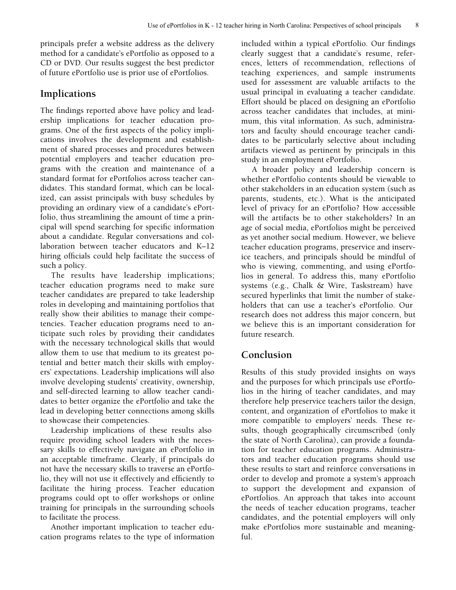principals prefer a website address as the delivery method for a candidate's ePortfolio as opposed to a CD or DVD. Our results suggest the best predictor of future ePortfolio use is prior use of ePortfolios.

# **Implications**

The findings reported above have policy and leadership implications for teacher education programs. One of the first aspects of the policy implications involves the development and establishment of shared processes and procedures between potential employers and teacher education programs with the creation and maintenance of a standard format for ePortfolios across teacher candidates. This standard format, which can be localized, can assist principals with busy schedules by providing an ordinary view of a candidate's ePortfolio, thus streamlining the amount of time a principal will spend searching for specific information about a candidate. Regular conversations and collaboration between teacher educators and K–12 hiring officials could help facilitate the success of such a policy.

The results have leadership implications; teacher education programs need to make sure teacher candidates are prepared to take leadership roles in developing and maintaining portfolios that really show their abilities to manage their competencies. Teacher education programs need to anticipate such roles by providing their candidates with the necessary technological skills that would allow them to use that medium to its greatest potential and better match their skills with employers' expectations. Leadership implications will also involve developing students' creativity, ownership, and self-directed learning to allow teacher candidates to better organize the ePortfolio and take the lead in developing better connections among skills to showcase their competencies.

Leadership implications of these results also require providing school leaders with the necessary skills to effectively navigate an ePortfolio in an acceptable timeframe. Clearly, if principals do not have the necessary skills to traverse an ePortfolio, they will not use it effectively and efficiently to facilitate the hiring process. Teacher education programs could opt to offer workshops or online training for principals in the surrounding schools to facilitate the process.

Another important implication to teacher education programs relates to the type of information included within a typical ePortfolio. Our findings clearly suggest that a candidate's resume, references, letters of recommendation, reflections of teaching experiences, and sample instruments used for assessment are valuable artifacts to the usual principal in evaluating a teacher candidate. Effort should be placed on designing an ePortfolio across teacher candidates that includes, at minimum, this vital information. As such, administrators and faculty should encourage teacher candidates to be particularly selective about including artifacts viewed as pertinent by principals in this study in an employment ePortfolio.

A broader policy and leadership concern is whether ePortfolio contents should be viewable to other stakeholders in an education system (such as parents, students, etc.). What is the anticipated level of privacy for an ePortfolio? How accessible will the artifacts be to other stakeholders? In an age of social media, ePortfolios might be perceived as yet another social medium. However, we believe teacher education programs, preservice and inservice teachers, and principals should be mindful of who is viewing, commenting, and using ePortfolios in general. To address this, many ePortfolio systems (e.g., Chalk & Wire, Taskstream) have secured hyperlinks that limit the number of stakeholders that can use a teacher's ePortfolio. Our research does not address this major concern, but we believe this is an important consideration for future research.

# **Conclusion**

Results of this study provided insights on ways and the purposes for which principals use ePortfolios in the hiring of teacher candidates, and may therefore help preservice teachers tailor the design, content, and organization of ePortfolios to make it more compatible to employers' needs. These results, though geographically circumscribed (only the state of North Carolina), can provide a foundation for teacher education programs. Administrators and teacher education programs should use these results to start and reinforce conversations in order to develop and promote a system's approach to support the development and expansion of ePortfolios. An approach that takes into account the needs of teacher education programs, teacher candidates, and the potential employers will only make ePortfolios more sustainable and meaningful.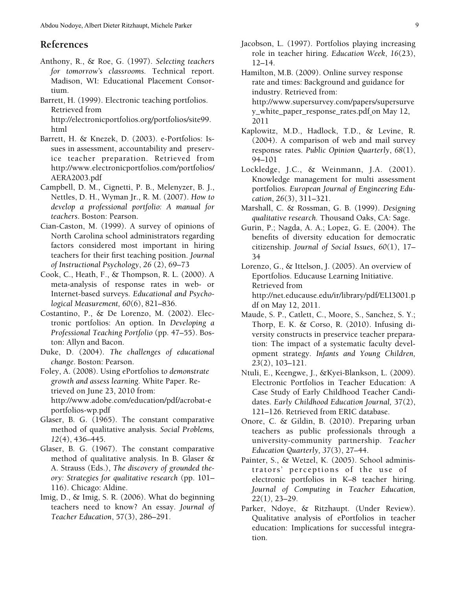### **References**

- Anthony, R., & Roe, G. (1997). *Selecting teachers for tomorrow's classrooms.* Technical report. Madison, WI: Educational Placement Consortium.
- Barrett, H. (1999). Electronic teaching portfolios. Retrieved from [http://electronicportfolios.org/portfolios/site99.](http://electronicportfolios.org/portfolios/site99.html) [html](http://electronicportfolios.org/portfolios/site99.html)
- Barrett, H. & Knezek, D. (2003). e-Portfolios: Issues in assessment, accountability and preservice teacher preparation. Retrieved from [http://www.electronicportfolios.com/portfolios/](http://www.electronicportfolios.com/portfolios/AERA2003.pdf) [AERA2003.pdf](http://www.electronicportfolios.com/portfolios/AERA2003.pdf)
- Campbell, D. M., Cignetti, P. B., Melenyzer, B. J., Nettles, D. H., Wyman Jr., R. M. (2007). *How to develop a professional portfolio: A manual for teachers*. Boston: Pearson.
- Cian-Caston, M. (1999). A survey of opinions of North Carolina school administrators regarding factors considered most important in hiring teachers for their first teaching position. *Journal of Instructional Psychology*, *26* (2), 69–73
- Cook, C., Heath, F., & Thompson, R. L. (2000). A meta-analysis of response rates in web- or Internet-based surveys. *Educational and Psychological Measurement, 60*(6), 821–836.
- Costantino, P., & De Lorenzo, M. (2002). Electronic portfolios: An option. In *Developing a Professional Teaching Portfolio* (pp. 47–55). Boston: Allyn and Bacon.
- Duke, D. (2004). *The challenges of educational change*. Boston: Pearson.
- Foley, A. (2008). Using ePortfolios t*o demonstrate growth and assess learning.* White Paper. Retrieved on June 23, 2010 from: [http://www.adobe.com/education/pdf/acrobat-e](http://www.adobe.com/education/pdf/acrobat-eportfolios-wp.pdf) [portfolios-wp.pdf](http://www.adobe.com/education/pdf/acrobat-eportfolios-wp.pdf)
- Glaser, B. G. (1965). The constant comparative method of qualitative analysis. *Social Problems, 12*(4), 436–445.
- Glaser, B. G. (1967). The constant comparative method of qualitative analysis. In B. Glaser & A. Strauss (Eds.), *The discovery of grounded theory: Strategies for qualitative research* (pp. 101– 116). Chicago: Aldine.
- Imig, D., & Imig, S. R. (2006). What do beginning teachers need to know? An essay. *Journal of Teacher Education*, 57(3), 286–291.
- Jacobson, L. (1997). Portfolios playing increasing role in teacher hiring. *Education Week*, *16*(23), 12–14.
- Hamilton, M.B. (2009). Online survey response rate and times: Background and guidance for industry. Retrieved from:
	- [http://www.supersurvey.com/papers/supersurve](http://www.supersurvey.com/papers/supersurvey_white_paper_response_rates.pdf) y white paper response rates.pdf on May 12, 2011
- Kaplowitz, M.D., Hadlock, T.D., & Levine, R. (2004). A comparison of web and mail survey response rates. *Public Opinion Quarterly*, *68*(1), 94–101
- Lockledge, J.C., & Weinmann, J.A. (2001). Knowledge management for multi assessment portfolios. *European Journal of Engineering Education*, *26*(3), 311–321.
- Marshall, C. & Rossman, G. B. (1999). *Designing qualitative research.* Thousand Oaks, CA: Sage.
- Gurin, P.; Nagda, A. A.; Lopez, G. E. (2004). The benefits of diversity education for democratic citizenship. *Journal of Social Issues*, *60*(1), 17– 34
- Lorenzo, G., & Ittelson, J. (2005). An overview of Eportfolios. Educause Learning Initiative. Retrieved from [http://net.educause.edu/ir/library/pdf/ELI3001.p](http://net.educause.edu/ir/library/pdf/ELI3001.pdf) [df](http://net.educause.edu/ir/library/pdf/ELI3001.pdf) on May 12, 2011.
- Maude, S. P., Catlett, C., Moore, S., Sanchez, S. Y.; Thorp, E. K. & Corso, R. (2010). Infusing diversity constructs in preservice teacher preparation: The impact of a systematic faculty development strategy. *Infants and Young Children, 23*(2), 103–121.
- Ntuli, E., Keengwe, J., &Kyei-Blankson, L. (2009). Electronic Portfolios in Teacher Education: A Case Study of Early Childhood Teacher Candidates. *Early Childhood Education Journal,* 37(2), 121–126. Retrieved from ERIC database.
- Onore, C. & Gildin, B. (2010). Preparing urban teachers as public professionals through a university-community partnership. *Teacher Education Quarterly, 37*(3), 27–44.
- Painter, S., & Wetzel, K. (2005). School administrators' perceptions of the use of electronic portfolios in K–8 teacher hiring. *Journal of Computing in Teacher Education, 22*(1*),* 23–29.
- Parker, Ndoye, & Ritzhaupt. (Under Review). Qualitative analysis of ePortfolios in teacher education: Implications for successful integration.